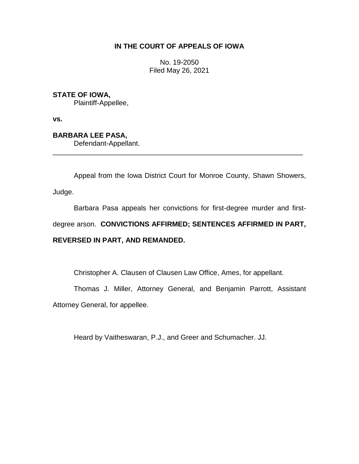# **IN THE COURT OF APPEALS OF IOWA**

No. 19-2050 Filed May 26, 2021

# **STATE OF IOWA,**

Plaintiff-Appellee,

**vs.**

# **BARBARA LEE PASA,**

Defendant-Appellant.

Appeal from the Iowa District Court for Monroe County, Shawn Showers,

Judge.

Barbara Pasa appeals her convictions for first-degree murder and first-

degree arson. **CONVICTIONS AFFIRMED; SENTENCES AFFIRMED IN PART,** 

\_\_\_\_\_\_\_\_\_\_\_\_\_\_\_\_\_\_\_\_\_\_\_\_\_\_\_\_\_\_\_\_\_\_\_\_\_\_\_\_\_\_\_\_\_\_\_\_\_\_\_\_\_\_\_\_\_\_\_\_\_\_\_\_

# **REVERSED IN PART, AND REMANDED.**

Christopher A. Clausen of Clausen Law Office, Ames, for appellant.

Thomas J. Miller, Attorney General, and Benjamin Parrott, Assistant

Attorney General, for appellee.

Heard by Vaitheswaran, P.J., and Greer and Schumacher. JJ.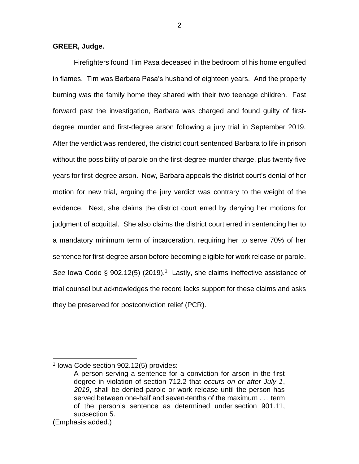## **GREER, Judge.**

Firefighters found Tim Pasa deceased in the bedroom of his home engulfed in flames. Tim was Barbara Pasa's husband of eighteen years. And the property burning was the family home they shared with their two teenage children. Fast forward past the investigation, Barbara was charged and found guilty of firstdegree murder and first-degree arson following a jury trial in September 2019. After the verdict was rendered, the district court sentenced Barbara to life in prison without the possibility of parole on the first-degree-murder charge, plus twenty-five years for first-degree arson. Now, Barbara appeals the district court's denial of her motion for new trial, arguing the jury verdict was contrary to the weight of the evidence. Next, she claims the district court erred by denying her motions for judgment of acquittal. She also claims the district court erred in sentencing her to a mandatory minimum term of incarceration, requiring her to serve 70% of her sentence for first-degree arson before becoming eligible for work release or parole. See lowa Code § 902.12(5) (2019).<sup>1</sup> Lastly, she claims ineffective assistance of trial counsel but acknowledges the record lacks support for these claims and asks they be preserved for postconviction relief (PCR).

<sup>1</sup> Iowa Code section 902.12(5) provides:

A person serving a sentence for a conviction for arson in the first degree in violation of [section](https://1.next.westlaw.com/Link/Document/FullText?findType=L&pubNum=1000256&cite=IASTS712.2&originatingDoc=N88D84A307D0711E9B1C9BC35CA018EF0&refType=LQ&originationContext=document&transitionType=DocumentItem&contextData=(sc.UserEnteredCitation)) 712.2 that *occurs on or after July 1*, *2019*, shall be denied parole or work release until the person has served between one-half and seven-tenths of the maximum . . . term of the person's sentence as determined under section [901.11,](https://1.next.westlaw.com/Link/Document/FullText?findType=L&pubNum=1000256&cite=IASTS901.11&originatingDoc=N88D84A307D0711E9B1C9BC35CA018EF0&refType=SP&originationContext=document&transitionType=DocumentItem&contextData=(sc.UserEnteredCitation)#co_pp_927d00002c422) [subsection](https://1.next.westlaw.com/Link/Document/FullText?findType=L&pubNum=1000256&cite=IASTS901.11&originatingDoc=N88D84A307D0711E9B1C9BC35CA018EF0&refType=SP&originationContext=document&transitionType=DocumentItem&contextData=(sc.UserEnteredCitation)#co_pp_927d00002c422) 5.

<sup>(</sup>Emphasis added.)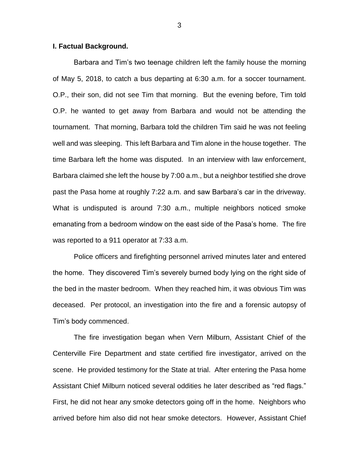### **I. Factual Background.**

Barbara and Tim's two teenage children left the family house the morning of May 5, 2018, to catch a bus departing at 6:30 a.m. for a soccer tournament. O.P., their son, did not see Tim that morning. But the evening before, Tim told O.P. he wanted to get away from Barbara and would not be attending the tournament. That morning, Barbara told the children Tim said he was not feeling well and was sleeping. This left Barbara and Tim alone in the house together. The time Barbara left the home was disputed. In an interview with law enforcement, Barbara claimed she left the house by 7:00 a.m., but a neighbor testified she drove past the Pasa home at roughly 7:22 a.m. and saw Barbara's car in the driveway. What is undisputed is around 7:30 a.m., multiple neighbors noticed smoke emanating from a bedroom window on the east side of the Pasa's home. The fire was reported to a 911 operator at 7:33 a.m.

Police officers and firefighting personnel arrived minutes later and entered the home. They discovered Tim's severely burned body lying on the right side of the bed in the master bedroom. When they reached him, it was obvious Tim was deceased. Per protocol, an investigation into the fire and a forensic autopsy of Tim's body commenced.

The fire investigation began when Vern Milburn, Assistant Chief of the Centerville Fire Department and state certified fire investigator, arrived on the scene. He provided testimony for the State at trial. After entering the Pasa home Assistant Chief Milburn noticed several oddities he later described as "red flags." First, he did not hear any smoke detectors going off in the home. Neighbors who arrived before him also did not hear smoke detectors. However, Assistant Chief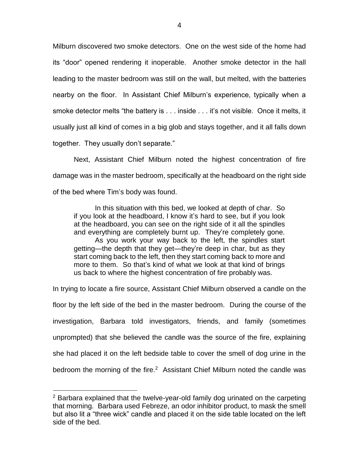Milburn discovered two smoke detectors. One on the west side of the home had its "door" opened rendering it inoperable. Another smoke detector in the hall leading to the master bedroom was still on the wall, but melted, with the batteries nearby on the floor. In Assistant Chief Milburn's experience, typically when a smoke detector melts "the battery is . . . inside . . . it's not visible. Once it melts, it usually just all kind of comes in a big glob and stays together, and it all falls down together. They usually don't separate."

Next, Assistant Chief Milburn noted the highest concentration of fire damage was in the master bedroom, specifically at the headboard on the right side of the bed where Tim's body was found.

In this situation with this bed, we looked at depth of char. So if you look at the headboard, I know it's hard to see, but if you look at the headboard, you can see on the right side of it all the spindles and everything are completely burnt up. They're completely gone. As you work your way back to the left, the spindles start getting—the depth that they get—they're deep in char, but as they start coming back to the left, then they start coming back to more and more to them. So that's kind of what we look at that kind of brings us back to where the highest concentration of fire probably was.

In trying to locate a fire source, Assistant Chief Milburn observed a candle on the floor by the left side of the bed in the master bedroom. During the course of the investigation, Barbara told investigators, friends, and family (sometimes unprompted) that she believed the candle was the source of the fire, explaining she had placed it on the left bedside table to cover the smell of dog urine in the bedroom the morning of the fire. $2$  Assistant Chief Milburn noted the candle was

 $2$  Barbara explained that the twelve-year-old family dog urinated on the carpeting that morning. Barbara used Febreze, an odor inhibitor product, to mask the smell but also lit a "three wick" candle and placed it on the side table located on the left side of the bed.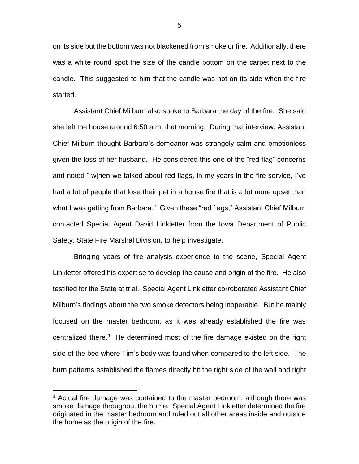on its side but the bottom was not blackened from smoke or fire. Additionally, there was a white round spot the size of the candle bottom on the carpet next to the candle. This suggested to him that the candle was not on its side when the fire started.

Assistant Chief Milburn also spoke to Barbara the day of the fire. She said she left the house around 6:50 a.m. that morning. During that interview, Assistant Chief Milburn thought Barbara's demeanor was strangely calm and emotionless given the loss of her husband. He considered this one of the "red flag" concerns and noted "[w]hen we talked about red flags, in my years in the fire service, I've had a lot of people that lose their pet in a house fire that is a lot more upset than what I was getting from Barbara." Given these "red flags," Assistant Chief Milburn contacted Special Agent David Linkletter from the Iowa Department of Public Safety, State Fire Marshal Division, to help investigate.

Bringing years of fire analysis experience to the scene, Special Agent Linkletter offered his expertise to develop the cause and origin of the fire. He also testified for the State at trial. Special Agent Linkletter corroborated Assistant Chief Milburn's findings about the two smoke detectors being inoperable. But he mainly focused on the master bedroom, as it was already established the fire was centralized there. $3$  He determined most of the fire damage existed on the right side of the bed where Tim's body was found when compared to the left side. The burn patterns established the flames directly hit the right side of the wall and right

 $3$  Actual fire damage was contained to the master bedroom, although there was smoke damage throughout the home. Special Agent Linkletter determined the fire originated in the master bedroom and ruled out all other areas inside and outside the home as the origin of the fire.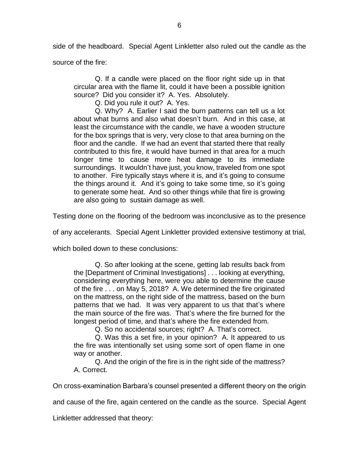side of the headboard. Special Agent Linkletter also ruled out the candle as the

source of the fire:

Q. If a candle were placed on the floor right side up in that circular area with the flame lit, could it have been a possible ignition source? Did you consider it? A. Yes. Absolutely.

Q. Did you rule it out? A. Yes.

Q. Why? A. Earlier I said the burn patterns can tell us a lot about what burns and also what doesn't burn. And in this case, at least the circumstance with the candle, we have a wooden structure for the box springs that is very, very close to that area burning on the floor and the candle. If we had an event that started there that really contributed to this fire, it would have burned in that area for a much longer time to cause more heat damage to its immediate surroundings. It wouldn't have just, you know, traveled from one spot to another. Fire typically stays where it is, and it's going to consume the things around it. And it's going to take some time, so it's going to generate some heat. And so other things while that fire is growing are also going to sustain damage as well.

Testing done on the flooring of the bedroom was inconclusive as to the presence

of any accelerants. Special Agent Linkletter provided extensive testimony at trial,

which boiled down to these conclusions:

Q. So after looking at the scene, getting lab results back from the [Department of Criminal Investigations] . . . looking at everything, considering everything here, were you able to determine the cause of the fire . . . on May 5, 2018? A. We determined the fire originated on the mattress, on the right side of the mattress, based on the burn patterns that we had. It was very apparent to us that that's where the main source of the fire was. That's where the fire burned for the longest period of time, and that's where the fire extended from.

Q. So no accidental sources; right? A. That's correct.

Q. Was this a set fire, in your opinion? A. It appeared to us the fire was intentionally set using some sort of open flame in one way or another.

Q. And the origin of the fire is in the right side of the mattress? A. Correct.

On cross-examination Barbara's counsel presented a different theory on the origin

and cause of the fire, again centered on the candle as the source. Special Agent

Linkletter addressed that theory: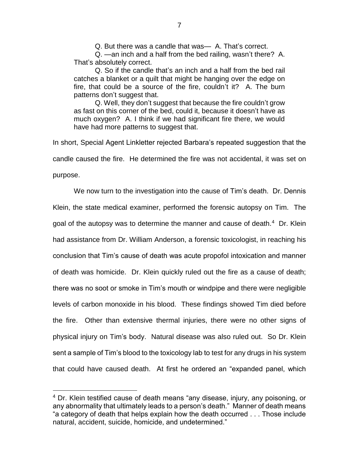Q. But there was a candle that was— A. That's correct.

Q. —an inch and a half from the bed railing, wasn't there? A. That's absolutely correct.

Q. So if the candle that's an inch and a half from the bed rail catches a blanket or a quilt that might be hanging over the edge on fire, that could be a source of the fire, couldn't it? A. The burn patterns don't suggest that.

Q. Well, they don't suggest that because the fire couldn't grow as fast on this corner of the bed, could it, because it doesn't have as much oxygen? A. I think if we had significant fire there, we would have had more patterns to suggest that.

In short, Special Agent Linkletter rejected Barbara's repeated suggestion that the candle caused the fire. He determined the fire was not accidental, it was set on purpose.

We now turn to the investigation into the cause of Tim's death. Dr. Dennis Klein, the state medical examiner, performed the forensic autopsy on Tim. The goal of the autopsy was to determine the manner and cause of death.<sup>4</sup> Dr. Klein had assistance from Dr. William Anderson, a forensic toxicologist, in reaching his conclusion that Tim's cause of death was acute propofol intoxication and manner of death was homicide. Dr. Klein quickly ruled out the fire as a cause of death; there was no soot or smoke in Tim's mouth or windpipe and there were negligible levels of carbon monoxide in his blood. These findings showed Tim died before the fire. Other than extensive thermal injuries, there were no other signs of physical injury on Tim's body. Natural disease was also ruled out. So Dr. Klein sent a sample of Tim's blood to the toxicology lab to test for any drugs in his system that could have caused death. At first he ordered an "expanded panel, which

<sup>4</sup> Dr. Klein testified cause of death means "any disease, injury, any poisoning, or any abnormality that ultimately leads to a person's death." Manner of death means "a category of death that helps explain how the death occurred . . . Those include natural, accident, suicide, homicide, and undetermined."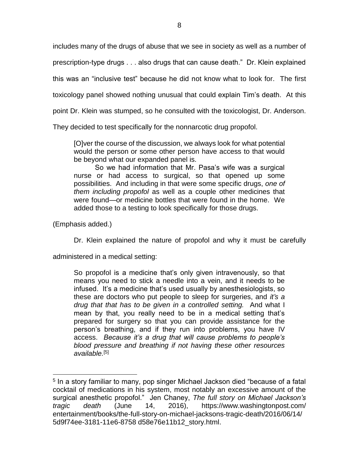includes many of the drugs of abuse that we see in society as well as a number of

prescription-type drugs . . . also drugs that can cause death." Dr. Klein explained

this was an "inclusive test" because he did not know what to look for. The first

toxicology panel showed nothing unusual that could explain Tim's death. At this

point Dr. Klein was stumped, so he consulted with the toxicologist, Dr. Anderson.

They decided to test specifically for the nonnarcotic drug propofol.

[O]ver the course of the discussion, we always look for what potential would the person or some other person have access to that would be beyond what our expanded panel is.

So we had information that Mr. Pasa's wife was a surgical nurse or had access to surgical, so that opened up some possibilities. And including in that were some specific drugs, *one of them including propofol* as well as a couple other medicines that were found—or medicine bottles that were found in the home. We added those to a testing to look specifically for those drugs.

(Emphasis added.)

 $\overline{a}$ 

Dr. Klein explained the nature of propofol and why it must be carefully

administered in a medical setting:

So propofol is a medicine that's only given intravenously, so that means you need to stick a needle into a vein, and it needs to be infused. It's a medicine that's used usually by anesthesiologists, so these are doctors who put people to sleep for surgeries, and *it's a drug that that has to be given in a controlled setting.* And what I mean by that, you really need to be in a medical setting that's prepared for surgery so that you can provide assistance for the person's breathing, and if they run into problems, you have IV access. *Because it's a drug that will cause problems to people's blood pressure and breathing if not having these other resources available.*[5]

<sup>&</sup>lt;sup>5</sup> In a story familiar to many, pop singer Michael Jackson died "because of a fatal cocktail of medications in his system, most notably an excessive amount of the surgical anesthetic propofol." Jen Chaney, *The full story on Michael Jackson's tragic death* (June 14, 2016), https://www.washingtonpost.com/ entertainment/books/the-full-story-on-michael-jacksons-tragic-death/2016/06/14/ 5d9f74ee-3181-11e6-8758 d58e76e11b12\_story.html.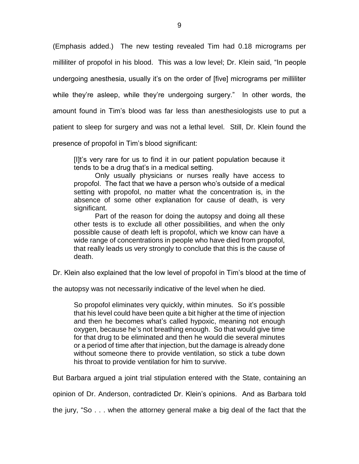(Emphasis added.) The new testing revealed Tim had 0.18 micrograms per milliliter of propofol in his blood. This was a low level; Dr. Klein said, "In people undergoing anesthesia, usually it's on the order of [five] micrograms per milliliter while they're asleep, while they're undergoing surgery." In other words, the amount found in Tim's blood was far less than anesthesiologists use to put a patient to sleep for surgery and was not a lethal level. Still, Dr. Klein found the presence of propofol in Tim's blood significant:

[I]t's very rare for us to find it in our patient population because it tends to be a drug that's in a medical setting.

Only usually physicians or nurses really have access to propofol. The fact that we have a person who's outside of a medical setting with propofol, no matter what the concentration is, in the absence of some other explanation for cause of death, is very significant.

Part of the reason for doing the autopsy and doing all these other tests is to exclude all other possibilities, and when the only possible cause of death left is propofol, which we know can have a wide range of concentrations in people who have died from propofol, that really leads us very strongly to conclude that this is the cause of death.

Dr. Klein also explained that the low level of propofol in Tim's blood at the time of

the autopsy was not necessarily indicative of the level when he died.

So propofol eliminates very quickly, within minutes. So it's possible that his level could have been quite a bit higher at the time of injection and then he becomes what's called hypoxic, meaning not enough oxygen, because he's not breathing enough. So that would give time for that drug to be eliminated and then he would die several minutes or a period of time after that injection, but the damage is already done without someone there to provide ventilation, so stick a tube down his throat to provide ventilation for him to survive.

But Barbara argued a joint trial stipulation entered with the State, containing an

opinion of Dr. Anderson, contradicted Dr. Klein's opinions. And as Barbara told

the jury, "So . . . when the attorney general make a big deal of the fact that the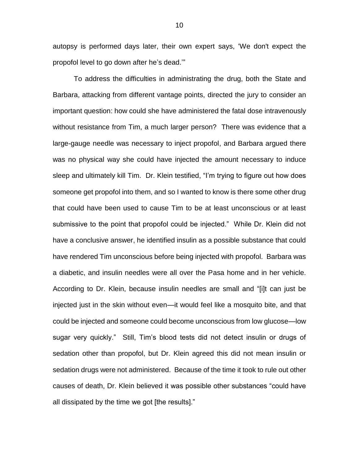autopsy is performed days later, their own expert says, 'We don't expect the propofol level to go down after he's dead.'"

To address the difficulties in administrating the drug, both the State and Barbara, attacking from different vantage points, directed the jury to consider an important question: how could she have administered the fatal dose intravenously without resistance from Tim, a much larger person? There was evidence that a large-gauge needle was necessary to inject propofol, and Barbara argued there was no physical way she could have injected the amount necessary to induce sleep and ultimately kill Tim. Dr. Klein testified, "I'm trying to figure out how does someone get propofol into them, and so I wanted to know is there some other drug that could have been used to cause Tim to be at least unconscious or at least submissive to the point that propofol could be injected." While Dr. Klein did not have a conclusive answer, he identified insulin as a possible substance that could have rendered Tim unconscious before being injected with propofol. Barbara was a diabetic, and insulin needles were all over the Pasa home and in her vehicle. According to Dr. Klein, because insulin needles are small and "[i]t can just be injected just in the skin without even—it would feel like a mosquito bite, and that could be injected and someone could become unconscious from low glucose—low sugar very quickly." Still, Tim's blood tests did not detect insulin or drugs of sedation other than propofol, but Dr. Klein agreed this did not mean insulin or sedation drugs were not administered. Because of the time it took to rule out other causes of death, Dr. Klein believed it was possible other substances "could have all dissipated by the time we got [the results]."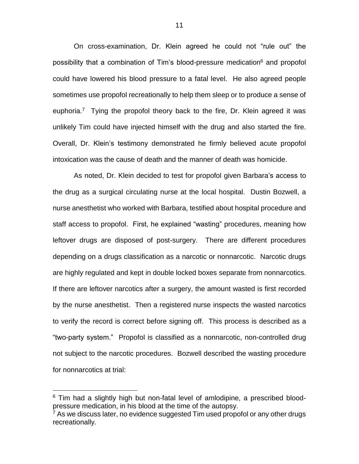On cross-examination, Dr. Klein agreed he could not "rule out" the possibility that a combination of Tim's blood-pressure medication<sup>6</sup> and propofol could have lowered his blood pressure to a fatal level. He also agreed people sometimes use propofol recreationally to help them sleep or to produce a sense of euphoria.<sup>7</sup> Tying the propofol theory back to the fire, Dr. Klein agreed it was unlikely Tim could have injected himself with the drug and also started the fire. Overall, Dr. Klein's testimony demonstrated he firmly believed acute propofol intoxication was the cause of death and the manner of death was homicide.

As noted, Dr. Klein decided to test for propofol given Barbara's access to the drug as a surgical circulating nurse at the local hospital. Dustin Bozwell, a nurse anesthetist who worked with Barbara, testified about hospital procedure and staff access to propofol. First, he explained "wasting" procedures, meaning how leftover drugs are disposed of post-surgery. There are different procedures depending on a drugs classification as a narcotic or nonnarcotic. Narcotic drugs are highly regulated and kept in double locked boxes separate from nonnarcotics. If there are leftover narcotics after a surgery, the amount wasted is first recorded by the nurse anesthetist. Then a registered nurse inspects the wasted narcotics to verify the record is correct before signing off. This process is described as a "two-party system." Propofol is classified as a nonnarcotic, non-controlled drug not subject to the narcotic procedures. Bozwell described the wasting procedure for nonnarcotics at trial:

 $6$  Tim had a slightly high but non-fatal level of amlodipine, a prescribed bloodpressure medication, in his blood at the time of the autopsy.

 $7$  As we discuss later, no evidence suggested Tim used propofol or any other drugs recreationally.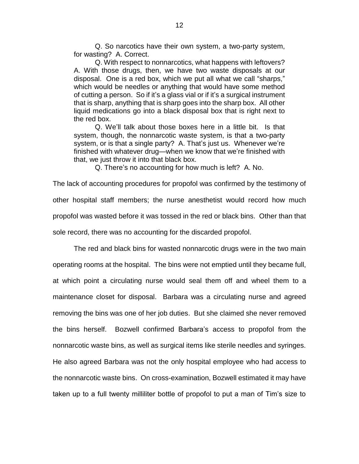Q. So narcotics have their own system, a two-party system, for wasting? A. Correct.

Q. With respect to nonnarcotics, what happens with leftovers? A. With those drugs, then, we have two waste disposals at our disposal. One is a red box, which we put all what we call "sharps," which would be needles or anything that would have some method of cutting a person. So if it's a glass vial or if it's a surgical instrument that is sharp, anything that is sharp goes into the sharp box. All other liquid medications go into a black disposal box that is right next to the red box.

Q. We'll talk about those boxes here in a little bit. Is that system, though, the nonnarcotic waste system, is that a two-party system, or is that a single party? A. That's just us. Whenever we're finished with whatever drug—when we know that we're finished with that, we just throw it into that black box.

Q. There's no accounting for how much is left? A. No.

The lack of accounting procedures for propofol was confirmed by the testimony of other hospital staff members; the nurse anesthetist would record how much propofol was wasted before it was tossed in the red or black bins. Other than that sole record, there was no accounting for the discarded propofol.

The red and black bins for wasted nonnarcotic drugs were in the two main operating rooms at the hospital. The bins were not emptied until they became full, at which point a circulating nurse would seal them off and wheel them to a maintenance closet for disposal. Barbara was a circulating nurse and agreed removing the bins was one of her job duties. But she claimed she never removed the bins herself. Bozwell confirmed Barbara's access to propofol from the nonnarcotic waste bins, as well as surgical items like sterile needles and syringes. He also agreed Barbara was not the only hospital employee who had access to the nonnarcotic waste bins. On cross-examination, Bozwell estimated it may have taken up to a full twenty milliliter bottle of propofol to put a man of Tim's size to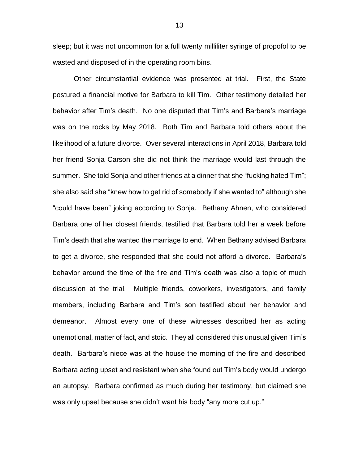sleep; but it was not uncommon for a full twenty milliliter syringe of propofol to be wasted and disposed of in the operating room bins.

Other circumstantial evidence was presented at trial. First, the State postured a financial motive for Barbara to kill Tim. Other testimony detailed her behavior after Tim's death. No one disputed that Tim's and Barbara's marriage was on the rocks by May 2018. Both Tim and Barbara told others about the likelihood of a future divorce. Over several interactions in April 2018, Barbara told her friend Sonja Carson she did not think the marriage would last through the summer. She told Sonja and other friends at a dinner that she "fucking hated Tim"; she also said she "knew how to get rid of somebody if she wanted to" although she "could have been" joking according to Sonja. Bethany Ahnen, who considered Barbara one of her closest friends, testified that Barbara told her a week before Tim's death that she wanted the marriage to end. When Bethany advised Barbara to get a divorce, she responded that she could not afford a divorce. Barbara's behavior around the time of the fire and Tim's death was also a topic of much discussion at the trial. Multiple friends, coworkers, investigators, and family members, including Barbara and Tim's son testified about her behavior and demeanor. Almost every one of these witnesses described her as acting unemotional, matter of fact, and stoic. They all considered this unusual given Tim's death. Barbara's niece was at the house the morning of the fire and described Barbara acting upset and resistant when she found out Tim's body would undergo an autopsy. Barbara confirmed as much during her testimony, but claimed she was only upset because she didn't want his body "any more cut up."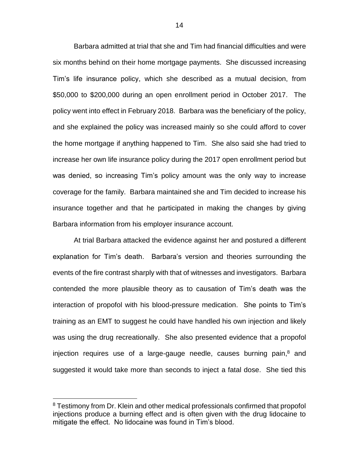Barbara admitted at trial that she and Tim had financial difficulties and were six months behind on their home mortgage payments. She discussed increasing Tim's life insurance policy, which she described as a mutual decision, from \$50,000 to \$200,000 during an open enrollment period in October 2017. The policy went into effect in February 2018. Barbara was the beneficiary of the policy, and she explained the policy was increased mainly so she could afford to cover the home mortgage if anything happened to Tim. She also said she had tried to increase her own life insurance policy during the 2017 open enrollment period but was denied, so increasing Tim's policy amount was the only way to increase coverage for the family. Barbara maintained she and Tim decided to increase his insurance together and that he participated in making the changes by giving Barbara information from his employer insurance account.

At trial Barbara attacked the evidence against her and postured a different explanation for Tim's death. Barbara's version and theories surrounding the events of the fire contrast sharply with that of witnesses and investigators. Barbara contended the more plausible theory as to causation of Tim's death was the interaction of propofol with his blood-pressure medication. She points to Tim's training as an EMT to suggest he could have handled his own injection and likely was using the drug recreationally. She also presented evidence that a propofol injection requires use of a large-gauge needle, causes burning pain, <sup>8</sup> and suggested it would take more than seconds to inject a fatal dose. She tied this

<sup>&</sup>lt;sup>8</sup> Testimony from Dr. Klein and other medical professionals confirmed that propofol injections produce a burning effect and is often given with the drug lidocaine to mitigate the effect. No lidocaine was found in Tim's blood.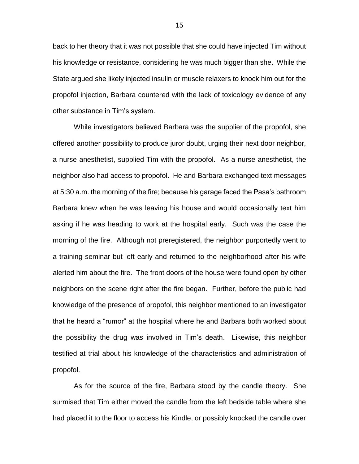back to her theory that it was not possible that she could have injected Tim without his knowledge or resistance, considering he was much bigger than she. While the State argued she likely injected insulin or muscle relaxers to knock him out for the propofol injection, Barbara countered with the lack of toxicology evidence of any other substance in Tim's system.

While investigators believed Barbara was the supplier of the propofol, she offered another possibility to produce juror doubt, urging their next door neighbor, a nurse anesthetist, supplied Tim with the propofol. As a nurse anesthetist, the neighbor also had access to propofol. He and Barbara exchanged text messages at 5:30 a.m. the morning of the fire; because his garage faced the Pasa's bathroom Barbara knew when he was leaving his house and would occasionally text him asking if he was heading to work at the hospital early. Such was the case the morning of the fire. Although not preregistered, the neighbor purportedly went to a training seminar but left early and returned to the neighborhood after his wife alerted him about the fire. The front doors of the house were found open by other neighbors on the scene right after the fire began. Further, before the public had knowledge of the presence of propofol, this neighbor mentioned to an investigator that he heard a "rumor" at the hospital where he and Barbara both worked about the possibility the drug was involved in Tim's death. Likewise, this neighbor testified at trial about his knowledge of the characteristics and administration of propofol.

As for the source of the fire, Barbara stood by the candle theory. She surmised that Tim either moved the candle from the left bedside table where she had placed it to the floor to access his Kindle, or possibly knocked the candle over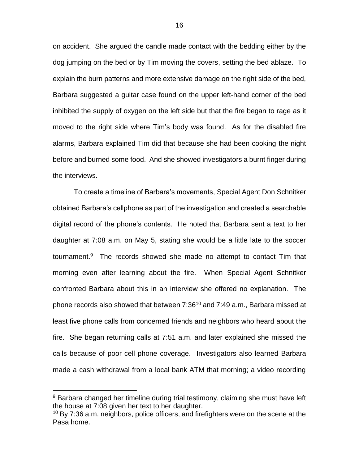on accident. She argued the candle made contact with the bedding either by the dog jumping on the bed or by Tim moving the covers, setting the bed ablaze. To explain the burn patterns and more extensive damage on the right side of the bed, Barbara suggested a guitar case found on the upper left-hand corner of the bed inhibited the supply of oxygen on the left side but that the fire began to rage as it moved to the right side where Tim's body was found. As for the disabled fire alarms, Barbara explained Tim did that because she had been cooking the night before and burned some food. And she showed investigators a burnt finger during the interviews.

To create a timeline of Barbara's movements, Special Agent Don Schnitker obtained Barbara's cellphone as part of the investigation and created a searchable digital record of the phone's contents. He noted that Barbara sent a text to her daughter at 7:08 a.m. on May 5, stating she would be a little late to the soccer tournament.<sup>9</sup> The records showed she made no attempt to contact Tim that morning even after learning about the fire. When Special Agent Schnitker confronted Barbara about this in an interview she offered no explanation. The phone records also showed that between  $7:36^{10}$  and  $7:49$  a.m., Barbara missed at least five phone calls from concerned friends and neighbors who heard about the fire. She began returning calls at 7:51 a.m. and later explained she missed the calls because of poor cell phone coverage. Investigators also learned Barbara made a cash withdrawal from a local bank ATM that morning; a video recording

<sup>&</sup>lt;sup>9</sup> Barbara changed her timeline during trial testimony, claiming she must have left the house at 7:08 given her text to her daughter.

 $10$  By 7:36 a.m. neighbors, police officers, and firefighters were on the scene at the Pasa home.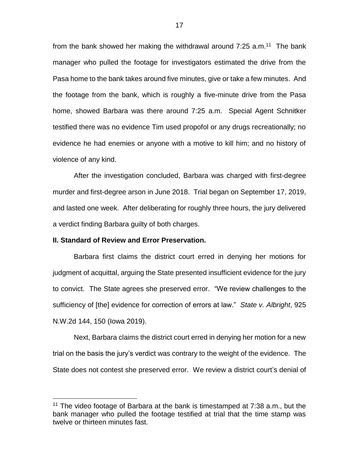from the bank showed her making the withdrawal around  $7:25$  a.m.<sup>11</sup> The bank manager who pulled the footage for investigators estimated the drive from the Pasa home to the bank takes around five minutes, give or take a few minutes. And the footage from the bank, which is roughly a five-minute drive from the Pasa home, showed Barbara was there around 7:25 a.m. Special Agent Schnitker testified there was no evidence Tim used propofol or any drugs recreationally; no evidence he had enemies or anyone with a motive to kill him; and no history of violence of any kind.

After the investigation concluded, Barbara was charged with first-degree murder and first-degree arson in June 2018. Trial began on September 17, 2019, and lasted one week. After deliberating for roughly three hours, the jury delivered a verdict finding Barbara guilty of both charges.

## **II. Standard of Review and Error Preservation.**

 $\overline{a}$ 

Barbara first claims the district court erred in denying her motions for judgment of acquittal, arguing the State presented insufficient evidence for the jury to convict. The State agrees she preserved error. "We review challenges to the sufficiency of [the] evidence for correction of errors at law." *State v. Albright*, 925 N.W.2d 144, 150 (Iowa 2019).

Next, Barbara claims the district court erred in denying her motion for a new trial on the basis the jury's verdict was contrary to the weight of the evidence. The State does not contest she preserved error. We review a district court's denial of

<sup>&</sup>lt;sup>11</sup> The video footage of Barbara at the bank is timestamped at  $7:38$  a.m., but the bank manager who pulled the footage testified at trial that the time stamp was twelve or thirteen minutes fast.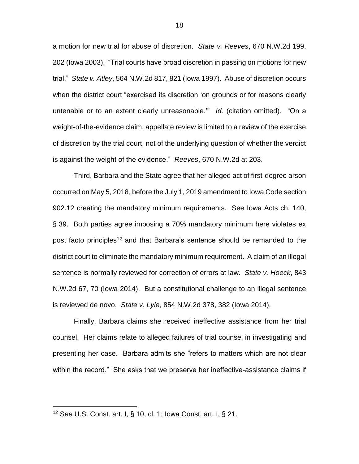a motion for new trial for abuse of discretion. *State v. Reeves*, 670 N.W.2d 199, 202 (Iowa 2003). "Trial courts have broad discretion in passing on motions for new trial." *State v. Atley*, 564 N.W.2d 817, 821 (Iowa 1997). Abuse of discretion occurs when the district court "exercised its discretion 'on grounds or for reasons clearly untenable or to an extent clearly unreasonable.'" *Id.* (citation omitted). "On a weight-of-the-evidence claim, appellate review is limited to a review of the exercise of discretion by the trial court, not of the underlying question of whether the verdict is against the weight of the evidence." *Reeves*, 670 N.W.2d at 203.

Third, Barbara and the State agree that her alleged act of first-degree arson occurred on May 5, 2018, before the July 1, 2019 amendment to Iowa Code section 902.12 creating the mandatory minimum requirements. See Iowa Acts ch. 140, § 39. Both parties agree imposing a 70% mandatory minimum here violates ex post facto principles<sup>12</sup> and that Barbara's sentence should be remanded to the district court to eliminate the mandatory minimum requirement. A claim of an illegal sentence is normally reviewed for correction of errors at law. *State v. Hoeck*, 843 N.W.2d 67, 70 (Iowa 2014). But a constitutional challenge to an illegal sentence is reviewed de novo. *State v. Lyle*, 854 N.W.2d 378, 382 (Iowa 2014).

Finally, Barbara claims she received ineffective assistance from her trial counsel. Her claims relate to alleged failures of trial counsel in investigating and presenting her case. Barbara admits she "refers to matters which are not clear within the record." She asks that we preserve her ineffective-assistance claims if

<sup>12</sup> S*ee* U.S. [Const.](https://1.next.westlaw.com/Link/Document/FullText?findType=L&pubNum=1000583&cite=USCOARTIS10CL1&originatingDoc=I6647b9904cbc11e98335c7ebe72735f9&refType=LQ&originationContext=document&transitionType=DocumentItem&contextData=(sc.Search)) art. I, § 10, cl. 1; Iowa [Const.](https://1.next.westlaw.com/Link/Document/FullText?findType=L&pubNum=1000371&cite=IACNART1S21&originatingDoc=I6647b9904cbc11e98335c7ebe72735f9&refType=LQ&originationContext=document&transitionType=DocumentItem&contextData=(sc.Search)) art. I, § 21.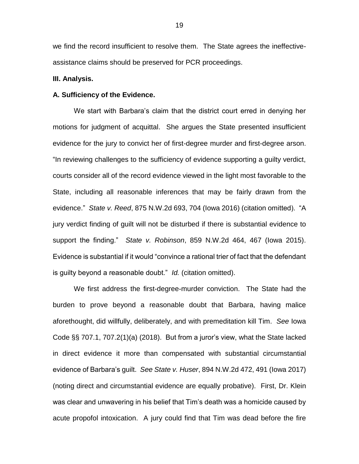we find the record insufficient to resolve them. The State agrees the ineffectiveassistance claims should be preserved for PCR proceedings.

#### **III. Analysis.**

#### **A. Sufficiency of the Evidence.**

We start with Barbara's claim that the district court erred in denying her motions for judgment of acquittal. She argues the State presented insufficient evidence for the jury to convict her of first-degree murder and first-degree arson. "In reviewing challenges to the sufficiency of evidence supporting a guilty verdict, courts consider all of the record evidence viewed in the light most favorable to the State, including all reasonable inferences that may be fairly drawn from the evidence." *State v. Reed*, 875 N.W.2d 693, 704 (Iowa 2016) (citation omitted). "A jury verdict finding of guilt will not be disturbed if there is substantial evidence to support the finding." *State v. Robinson*, 859 N.W.2d 464, 467 (Iowa 2015). Evidence is substantial if it would "convince a rational trier of fact that the defendant is guilty beyond a reasonable doubt." *Id.* (citation omitted).

We first address the first-degree-murder conviction. The State had the burden to prove beyond a reasonable doubt that Barbara, having malice aforethought, did willfully, deliberately, and with premeditation kill Tim. *See* Iowa Code §§ 707.1, 707.2(1)(a) (2018). But from a juror's view, what the State lacked in direct evidence it more than compensated with substantial circumstantial evidence of Barbara's guilt. *See State v. Huser*, 894 N.W.2d 472, 491 (Iowa 2017) (noting direct and circumstantial evidence are equally probative). First, Dr. Klein was clear and unwavering in his belief that Tim's death was a homicide caused by acute propofol intoxication. A jury could find that Tim was dead before the fire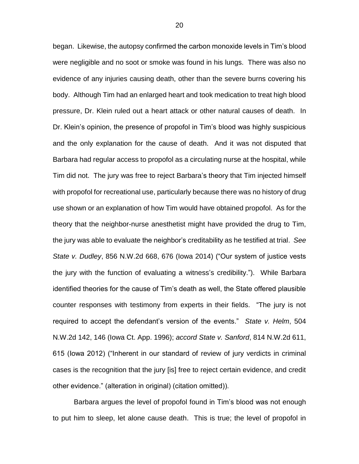began. Likewise, the autopsy confirmed the carbon monoxide levels in Tim's blood were negligible and no soot or smoke was found in his lungs. There was also no evidence of any injuries causing death, other than the severe burns covering his body. Although Tim had an enlarged heart and took medication to treat high blood pressure, Dr. Klein ruled out a heart attack or other natural causes of death. In Dr. Klein's opinion, the presence of propofol in Tim's blood was highly suspicious and the only explanation for the cause of death. And it was not disputed that Barbara had regular access to propofol as a circulating nurse at the hospital, while Tim did not. The jury was free to reject Barbara's theory that Tim injected himself with propofol for recreational use, particularly because there was no history of drug use shown or an explanation of how Tim would have obtained propofol. As for the theory that the neighbor-nurse anesthetist might have provided the drug to Tim, the jury was able to evaluate the neighbor's creditability as he testified at trial. *See State v. Dudley*, 856 N.W.2d 668, 676 (Iowa 2014) ("Our system of justice vests the jury with the function of evaluating a witness's credibility."). While Barbara identified theories for the cause of Tim's death as well, the State offered plausible counter responses with testimony from experts in their fields. "The jury is not required to accept the defendant's version of the events." *State v. Helm*, 504 N.W.2d 142, 146 (Iowa Ct. App. 1996); *accord State v. Sanford*, 814 N.W.2d 611, 615 (Iowa 2012) ("Inherent in our standard of review of jury verdicts in criminal cases is the recognition that the jury [is] free to reject certain evidence, and credit other evidence." (alteration in original) (citation omitted)).

Barbara argues the level of propofol found in Tim's blood was not enough to put him to sleep, let alone cause death. This is true; the level of propofol in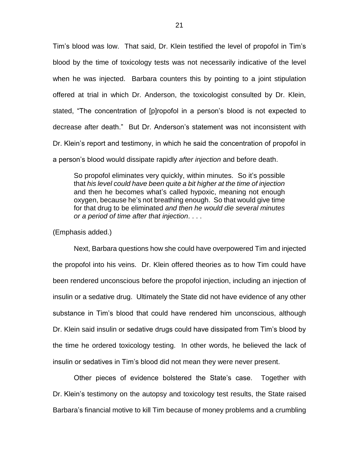Tim's blood was low. That said, Dr. Klein testified the level of propofol in Tim's blood by the time of toxicology tests was not necessarily indicative of the level when he was injected. Barbara counters this by pointing to a joint stipulation offered at trial in which Dr. Anderson, the toxicologist consulted by Dr. Klein, stated, "The concentration of [p]ropofol in a person's blood is not expected to decrease after death." But Dr. Anderson's statement was not inconsistent with Dr. Klein's report and testimony, in which he said the concentration of propofol in a person's blood would dissipate rapidly *after injection* and before death.

So propofol eliminates very quickly, within minutes. So it's possible that *his level could have been quite a bit higher at the time of injection* and then he becomes what's called hypoxic, meaning not enough oxygen, because he's not breathing enough. So that would give time for that drug to be eliminated *and then he would die several minutes or a period of time after that injection*. . . .

(Emphasis added.)

Next, Barbara questions how she could have overpowered Tim and injected the propofol into his veins. Dr. Klein offered theories as to how Tim could have been rendered unconscious before the propofol injection, including an injection of insulin or a sedative drug. Ultimately the State did not have evidence of any other substance in Tim's blood that could have rendered him unconscious, although Dr. Klein said insulin or sedative drugs could have dissipated from Tim's blood by the time he ordered toxicology testing. In other words, he believed the lack of insulin or sedatives in Tim's blood did not mean they were never present.

Other pieces of evidence bolstered the State's case. Together with Dr. Klein's testimony on the autopsy and toxicology test results, the State raised Barbara's financial motive to kill Tim because of money problems and a crumbling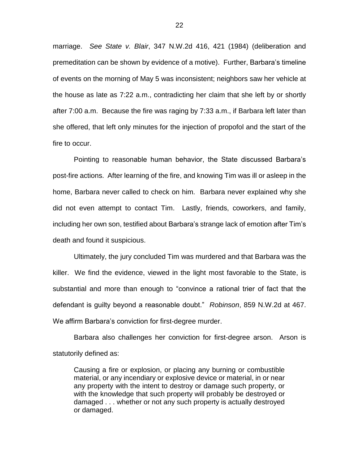marriage. *See State v. Blair*, 347 N.W.2d 416, 421 (1984) (deliberation and premeditation can be shown by evidence of a motive). Further, Barbara's timeline of events on the morning of May 5 was inconsistent; neighbors saw her vehicle at the house as late as 7:22 a.m., contradicting her claim that she left by or shortly after 7:00 a.m. Because the fire was raging by 7:33 a.m., if Barbara left later than she offered, that left only minutes for the injection of propofol and the start of the fire to occur.

Pointing to reasonable human behavior, the State discussed Barbara's post-fire actions. After learning of the fire, and knowing Tim was ill or asleep in the home, Barbara never called to check on him. Barbara never explained why she did not even attempt to contact Tim. Lastly, friends, coworkers, and family, including her own son, testified about Barbara's strange lack of emotion after Tim's death and found it suspicious.

Ultimately, the jury concluded Tim was murdered and that Barbara was the killer. We find the evidence, viewed in the light most favorable to the State, is substantial and more than enough to "convince a rational trier of fact that the defendant is guilty beyond a reasonable doubt." *Robinson*, 859 N.W.2d at 467. We affirm Barbara's conviction for first-degree murder.

Barbara also challenges her conviction for first-degree arson. Arson is statutorily defined as:

Causing a fire or explosion, or placing any burning or combustible material, or any incendiary or explosive device or material, in or near any property with the intent to destroy or damage such property, or with the knowledge that such property will probably be destroyed or damaged . . . whether or not any such property is actually destroyed or damaged.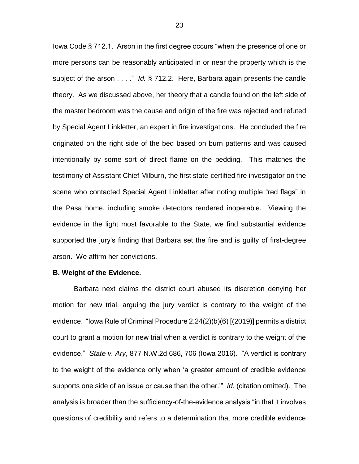Iowa Code § 712.1. Arson in the first degree occurs "when the presence of one or more persons can be reasonably anticipated in or near the property which is the subject of the arson . . . ." *Id.* § 712.2. Here, Barbara again presents the candle theory. As we discussed above, her theory that a candle found on the left side of the master bedroom was the cause and origin of the fire was rejected and refuted by Special Agent Linkletter, an expert in fire investigations. He concluded the fire originated on the right side of the bed based on burn patterns and was caused intentionally by some sort of direct flame on the bedding. This matches the testimony of Assistant Chief Milburn, the first state-certified fire investigator on the scene who contacted Special Agent Linkletter after noting multiple "red flags" in the Pasa home, including smoke detectors rendered inoperable. Viewing the evidence in the light most favorable to the State, we find substantial evidence supported the jury's finding that Barbara set the fire and is guilty of first-degree arson. We affirm her convictions.

#### **B. Weight of the Evidence.**

Barbara next claims the district court abused its discretion denying her motion for new trial, arguing the jury verdict is contrary to the weight of the evidence. "Iowa Rule of Criminal Procedure 2.24(2)(b)(6) [(2019)] permits a district court to grant a motion for new trial when a verdict is contrary to the weight of the evidence." *State v. Ary*, 877 N.W.2d 686, 706 (Iowa 2016). "A verdict is contrary to the weight of the evidence only when 'a greater amount of credible evidence supports one side of an issue or cause than the other.'" *Id.* (citation omitted). The analysis is broader than the sufficiency-of-the-evidence analysis "in that it involves questions of credibility and refers to a determination that more credible evidence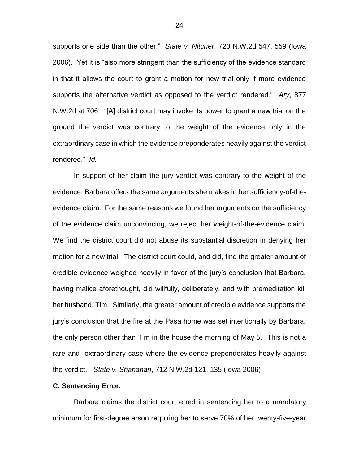supports one side than the other." *State v. Nitcher*, 720 N.W.2d 547, 559 (Iowa 2006). Yet it is "also more stringent than the sufficiency of the evidence standard in that it allows the court to grant a motion for new trial only if more evidence supports the alternative verdict as opposed to the verdict rendered." *Ary*, 877 N.W.2d at 706. "[A] district court may invoke its power to grant a new trial on the ground the verdict was contrary to the weight of the evidence only in the extraordinary case in which the evidence preponderates heavily against the verdict rendered." *Id.*

In support of her claim the jury verdict was contrary to the weight of the evidence, Barbara offers the same arguments she makes in her sufficiency-of-theevidence claim. For the same reasons we found her arguments on the sufficiency of the evidence claim unconvincing, we reject her weight-of-the-evidence claim. We find the district court did not abuse its substantial discretion in denying her motion for a new trial. The district court could, and did, find the greater amount of credible evidence weighed heavily in favor of the jury's conclusion that Barbara, having malice aforethought, did willfully, deliberately, and with premeditation kill her husband, Tim. Similarly, the greater amount of credible evidence supports the jury's conclusion that the fire at the Pasa home was set intentionally by Barbara, the only person other than Tim in the house the morning of May 5. This is not a rare and "extraordinary case where the evidence preponderates heavily against the verdict." *State v. Shanahan*, 712 N.W.2d 121, 135 (Iowa 2006).

### **C. Sentencing Error.**

Barbara claims the district court erred in sentencing her to a mandatory minimum for first-degree arson requiring her to serve 70% of her twenty-five-year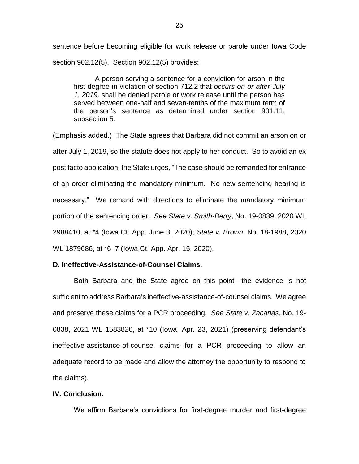sentence before becoming eligible for work release or parole under Iowa Code section 902.12(5). Section 902.12(5) provides:

A person serving a sentence for a conviction for arson in the first degree in violation of section 712.2 that *occurs on or after July 1*, *2019,* shall be denied parole or work release until the person has served between one-half and seven-tenths of the maximum term of the person's sentence as determined under section 901.11, subsection 5.

(Emphasis added.) The State agrees that Barbara did not commit an arson on or after July 1, 2019, so the statute does not apply to her conduct. So to avoid an ex post facto application, the State urges, "The case should be remanded for entrance of an order eliminating the mandatory minimum. No new sentencing hearing is necessary." We remand with directions to eliminate the mandatory minimum portion of the sentencing order. *See State v. Smith-Berry*, No. 19-0839, 2020 WL 2988410, at \*4 (Iowa Ct. App. June 3, 2020); *State v. Brown*, No. 18-1988, 2020 WL 1879686, at \*6–7 (Iowa Ct. App. Apr. 15, 2020).

## **D. Ineffective-Assistance-of-Counsel Claims.**

Both Barbara and the State agree on this point—the evidence is not sufficient to address Barbara's ineffective-assistance-of-counsel claims. We agree and preserve these claims for a PCR proceeding. *See State v. Zacarias*, No. 19- 0838, 2021 WL 1583820, at \*10 (Iowa, Apr. 23, 2021) (preserving defendant's ineffective-assistance-of-counsel claims for a PCR proceeding to allow an adequate record to be made and allow the attorney the opportunity to respond to the claims).

## **IV. Conclusion.**

We affirm Barbara's convictions for first-degree murder and first-degree